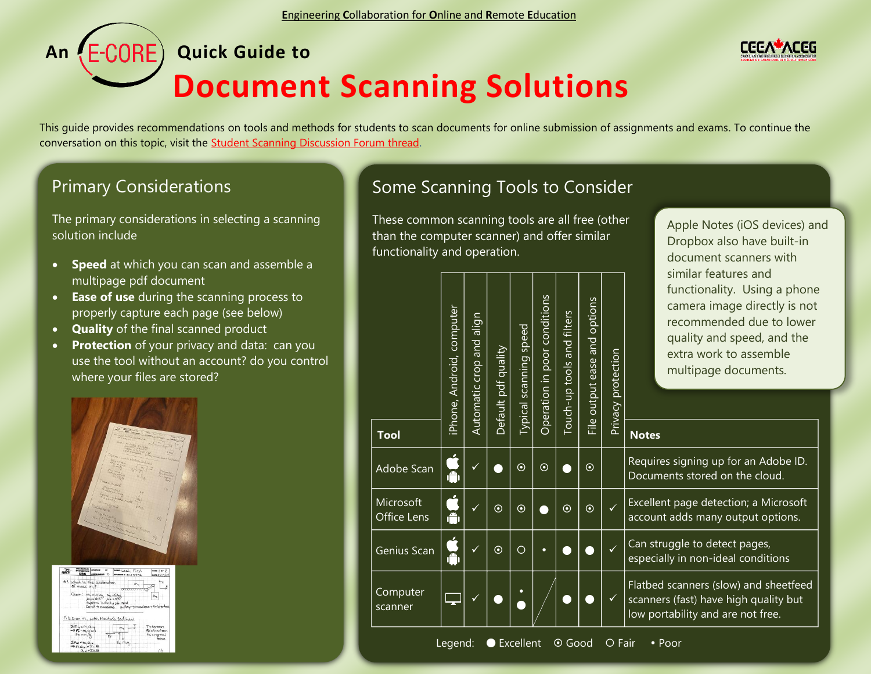## **An****Quick Guide to Document Scanning Solutions**

This guide provides recommendations on tools and methods for students to scan documents for online submission of assignments and exams. To continue the conversation on this topic, visit the [Student Scanning Discussion Forum thread.](https://ceea.wildapricot.org/e-core/forums/assessment/9148420)

## Primary Considerations

The primary considerations in selecting a scanning solution include

- **Speed** at which you can scan and assemble a multipage pdf document
- **Ease of use** during the scanning process to properly capture each page (see below)
- **Quality** of the final scanned product
- **Protection** of your privacy and data: can you use the tool without an account? do you control where your files are stored?



| $n\rightarrow 0$ | <b>URC</b>                                                                                 | <b>AND THEM</b><br>ASSIGNMENT: O                                                                                                                               | <b>MAN</b> Last, First<br><b>INDIANT &amp; CIL2 3456</b>                    | ness   or 2<br>asse Hickley                          |
|------------------|--------------------------------------------------------------------------------------------|----------------------------------------------------------------------------------------------------------------------------------------------------------------|-----------------------------------------------------------------------------|------------------------------------------------------|
|                  | of moss m. ?                                                                               | # I what is the acceleration<br>Given: $m_1 \times 10 \text{kg}$ $m_2 \times 6 \text{kg}$<br>$\mu_3 \times 0.5$ $\mu_4 \times 0.3$<br>system initially at rest | m.<br>7777777<br>cord > massless pulley-> massless + friderless             |                                                      |
|                  | $E_{F} = m_1 a_1 y$<br>$F_n = m, \Delta$<br>$2f_{xx} = m_1 a_{xx}$<br>$m_1 a_{1X} = T - F$ | 肓                                                                                                                                                              | F.B.D.on M. with Newton's 2nd Law<br>$\mathsf{m}$<br>$F_{n}$ , $m_{1}g_{n}$ | Titulion<br>Ff = Friction<br>$F_n = normal$<br>Gorca |
|                  | $Q_{18} = T - F_0$                                                                         |                                                                                                                                                                |                                                                             |                                                      |

l

## Some Scanning Tools to Consider

These common scanning tools are all free (other than the computer scanner) and offer similar functionality and operation.

| <b>Tool</b>              | iPhone, Android, computer | align<br>Automatic crop and | Default pdf quality | Typical scanning speed | Operation in poor conditions | Touch-up tools and filters | and options<br>File output ease | Privacy protection | similar features and<br>functionality. Using a phc<br>camera image directly is n<br>recommended due to low<br>quality and speed, and the<br>extra work to assemble<br>multipage documents.<br><b>Notes</b> |  |
|--------------------------|---------------------------|-----------------------------|---------------------|------------------------|------------------------------|----------------------------|---------------------------------|--------------------|------------------------------------------------------------------------------------------------------------------------------------------------------------------------------------------------------------|--|
| Adobe Scan               |                           | ✓                           |                     | $\odot$                | $\odot$                      |                            | $\odot$                         |                    | Requires signing up for an Adobe ID<br>Documents stored on the cloud.                                                                                                                                      |  |
| Microsoft<br>Office Lens | Ă                         | $\checkmark$                | $\odot$             | $\odot$                |                              | $\odot$                    | $\odot$                         | $\checkmark$       | Excellent page detection; a Microsof<br>account adds many output options.                                                                                                                                  |  |
| Genius Scan              | Ã                         |                             | $\odot$             | $\overline{O}$         | $\bullet$                    |                            |                                 | $\checkmark$       | Can struggle to detect pages,<br>especially in non-ideal conditions                                                                                                                                        |  |
| Computer<br>scanner      |                           | $\checkmark$                |                     |                        |                              |                            |                                 | $\checkmark$       | Flatbed scanners (slow) and sheetfee<br>scanners (fast) have high quality but<br>low portability and are not free.                                                                                         |  |



Apple Notes (iOS devices) and Dropbox also have built-in document scanners with similar features and ing a phone rectly is not ue to lower d, and the emble nents.

Microsoft options.

sheetfeed